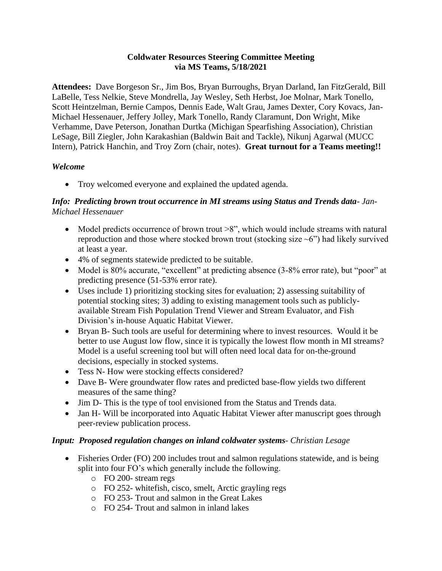#### **Coldwater Resources Steering Committee Meeting via MS Teams, 5/18/2021**

**Attendees:** Dave Borgeson Sr., Jim Bos, Bryan Burroughs, Bryan Darland, Ian FitzGerald, Bill LaBelle, Tess Nelkie, Steve Mondrella, Jay Wesley, Seth Herbst, Joe Molnar, Mark Tonello, Scott Heintzelman, Bernie Campos, Dennis Eade, Walt Grau, James Dexter, Cory Kovacs, Jan-Michael Hessenauer, Jeffery Jolley, Mark Tonello, Randy Claramunt, Don Wright, Mike Verhamme, Dave Peterson, Jonathan Durtka (Michigan Spearfishing Association), Christian LeSage, Bill Ziegler, John Karakashian (Baldwin Bait and Tackle), Nikunj Agarwal (MUCC Intern), Patrick Hanchin, and Troy Zorn (chair, notes). **Great turnout for a Teams meeting!!**

# *Welcome*

• Troy welcomed everyone and explained the updated agenda.

## *Info: Predicting brown trout occurrence in MI streams using Status and Trends data- Jan-Michael Hessenauer*

- Model predicts occurrence of brown trout  $>8$ ", which would include streams with natural reproduction and those where stocked brown trout (stocking size  $\sim$ 6") had likely survived at least a year.
- 4% of segments statewide predicted to be suitable.
- Model is 80% accurate, "excellent" at predicting absence (3-8% error rate), but "poor" at predicting presence (51-53% error rate).
- Uses include 1) prioritizing stocking sites for evaluation; 2) assessing suitability of potential stocking sites; 3) adding to existing management tools such as publiclyavailable Stream Fish Population Trend Viewer and Stream Evaluator, and Fish Division's in-house Aquatic Habitat Viewer.
- Bryan B- Such tools are useful for determining where to invest resources. Would it be better to use August low flow, since it is typically the lowest flow month in MI streams? Model is a useful screening tool but will often need local data for on-the-ground decisions, especially in stocked systems.
- Tess N- How were stocking effects considered?
- Dave B- Were groundwater flow rates and predicted base-flow yields two different measures of the same thing?
- Jim D- This is the type of tool envisioned from the Status and Trends data.
- Jan H- Will be incorporated into Aquatic Habitat Viewer after manuscript goes through peer-review publication process.

## *Input: Proposed regulation changes on inland coldwater systems- Christian Lesage*

- Fisheries Order (FO) 200 includes trout and salmon regulations statewide, and is being split into four FO's which generally include the following.
	- o FO 200- stream regs
	- o FO 252- whitefish, cisco, smelt, Arctic grayling regs
	- o FO 253- Trout and salmon in the Great Lakes
	- o FO 254- Trout and salmon in inland lakes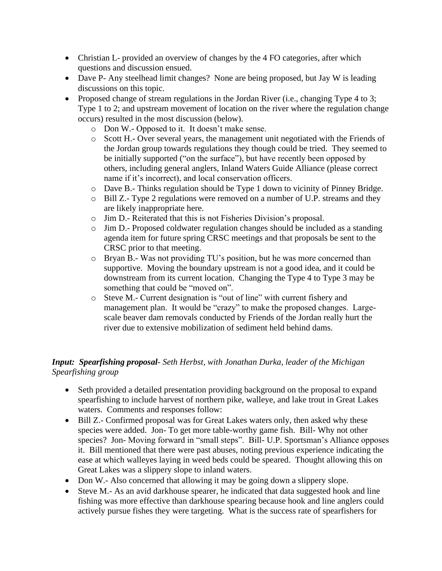- Christian L- provided an overview of changes by the 4 FO categories, after which questions and discussion ensued.
- Dave P- Any steelhead limit changes? None are being proposed, but Jay W is leading discussions on this topic.
- Proposed change of stream regulations in the Jordan River (i.e., changing Type 4 to 3; Type 1 to 2; and upstream movement of location on the river where the regulation change occurs) resulted in the most discussion (below).
	- o Don W.- Opposed to it. It doesn't make sense.
	- o Scott H.- Over several years, the management unit negotiated with the Friends of the Jordan group towards regulations they though could be tried. They seemed to be initially supported ("on the surface"), but have recently been opposed by others, including general anglers, Inland Waters Guide Alliance (please correct name if it's incorrect), and local conservation officers.
	- o Dave B.- Thinks regulation should be Type 1 down to vicinity of Pinney Bridge.
	- o Bill Z.- Type 2 regulations were removed on a number of U.P. streams and they are likely inappropriate here.
	- o Jim D.- Reiterated that this is not Fisheries Division's proposal.
	- o Jim D.- Proposed coldwater regulation changes should be included as a standing agenda item for future spring CRSC meetings and that proposals be sent to the CRSC prior to that meeting.
	- o Bryan B.- Was not providing TU's position, but he was more concerned than supportive. Moving the boundary upstream is not a good idea, and it could be downstream from its current location. Changing the Type 4 to Type 3 may be something that could be "moved on".
	- o Steve M.- Current designation is "out of line" with current fishery and management plan. It would be "crazy" to make the proposed changes. Largescale beaver dam removals conducted by Friends of the Jordan really hurt the river due to extensive mobilization of sediment held behind dams.

## *Input: Spearfishing proposal- Seth Herbst, with Jonathan Durka, leader of the Michigan Spearfishing group*

- Seth provided a detailed presentation providing background on the proposal to expand spearfishing to include harvest of northern pike, walleye, and lake trout in Great Lakes waters. Comments and responses follow:
- Bill Z.- Confirmed proposal was for Great Lakes waters only, then asked why these species were added. Jon- To get more table-worthy game fish. Bill- Why not other species? Jon- Moving forward in "small steps". Bill- U.P. Sportsman's Alliance opposes it. Bill mentioned that there were past abuses, noting previous experience indicating the ease at which walleyes laying in weed beds could be speared. Thought allowing this on Great Lakes was a slippery slope to inland waters.
- Don W.- Also concerned that allowing it may be going down a slippery slope.
- Steve M.- As an avid darkhouse spearer, he indicated that data suggested hook and line fishing was more effective than darkhouse spearing because hook and line anglers could actively pursue fishes they were targeting. What is the success rate of spearfishers for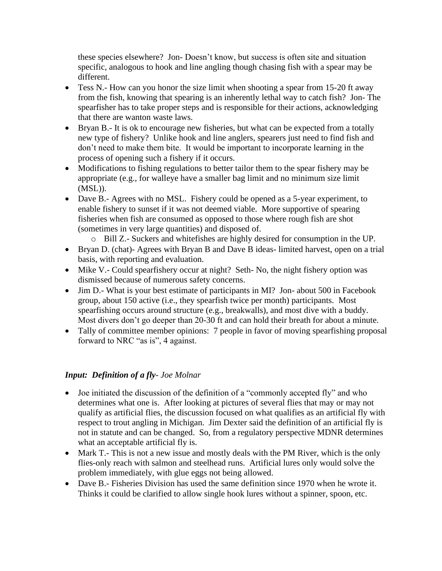these species elsewhere? Jon- Doesn't know, but success is often site and situation specific, analogous to hook and line angling though chasing fish with a spear may be different.

- Tess N.- How can you honor the size limit when shooting a spear from 15-20 ft away from the fish, knowing that spearing is an inherently lethal way to catch fish? Jon- The spearfisher has to take proper steps and is responsible for their actions, acknowledging that there are wanton waste laws.
- Bryan B.- It is ok to encourage new fisheries, but what can be expected from a totally new type of fishery? Unlike hook and line anglers, spearers just need to find fish and don't need to make them bite. It would be important to incorporate learning in the process of opening such a fishery if it occurs.
- Modifications to fishing regulations to better tailor them to the spear fishery may be appropriate (e.g., for walleye have a smaller bag limit and no minimum size limit (MSL)).
- Dave B.- Agrees with no MSL. Fishery could be opened as a 5-year experiment, to enable fishery to sunset if it was not deemed viable. More supportive of spearing fisheries when fish are consumed as opposed to those where rough fish are shot (sometimes in very large quantities) and disposed of.
	- o Bill Z.- Suckers and whitefishes are highly desired for consumption in the UP.
- Bryan D. (chat)- Agrees with Bryan B and Dave B ideas- limited harvest, open on a trial basis, with reporting and evaluation.
- Mike V.- Could spearfishery occur at night? Seth- No, the night fishery option was dismissed because of numerous safety concerns.
- Jim D.- What is your best estimate of participants in MI? Jon- about 500 in Facebook group, about 150 active (i.e., they spearfish twice per month) participants. Most spearfishing occurs around structure (e.g., breakwalls), and most dive with a buddy. Most divers don't go deeper than 20-30 ft and can hold their breath for about a minute.
- Tally of committee member opinions: 7 people in favor of moving spearfishing proposal forward to NRC "as is", 4 against.

## *Input: Definition of a fly- Joe Molnar*

- Joe initiated the discussion of the definition of a "commonly accepted fly" and who determines what one is. After looking at pictures of several flies that may or may not qualify as artificial flies, the discussion focused on what qualifies as an artificial fly with respect to trout angling in Michigan. Jim Dexter said the definition of an artificial fly is not in statute and can be changed. So, from a regulatory perspective MDNR determines what an acceptable artificial fly is.
- Mark T.- This is not a new issue and mostly deals with the PM River, which is the only flies-only reach with salmon and steelhead runs. Artificial lures only would solve the problem immediately, with glue eggs not being allowed.
- Dave B.- Fisheries Division has used the same definition since 1970 when he wrote it. Thinks it could be clarified to allow single hook lures without a spinner, spoon, etc.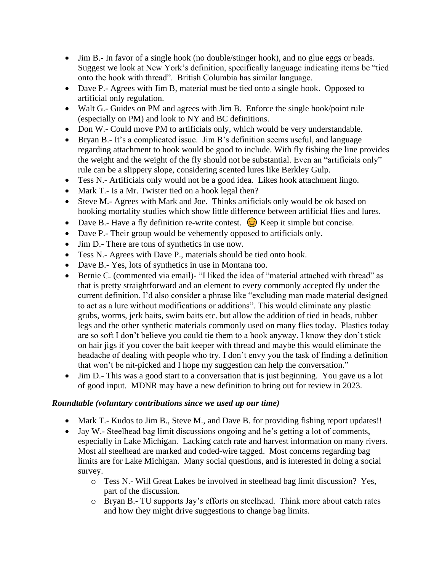- Jim B<sub>r</sub> In favor of a single hook (no double/stinger hook), and no glue eggs or beads. Suggest we look at New York's definition, specifically language indicating items be "tied onto the hook with thread". British Columbia has similar language.
- Dave P.- Agrees with Jim B, material must be tied onto a single hook. Opposed to artificial only regulation.
- Walt G.- Guides on PM and agrees with Jim B. Enforce the single hook/point rule (especially on PM) and look to NY and BC definitions.
- Don W.- Could move PM to artificials only, which would be very understandable.
- Bryan B.- It's a complicated issue. Jim B's definition seems useful, and language regarding attachment to hook would be good to include. With fly fishing the line provides the weight and the weight of the fly should not be substantial. Even an "artificials only" rule can be a slippery slope, considering scented lures like Berkley Gulp.
- Tess N.- Artificials only would not be a good idea. Likes hook attachment lingo.
- Mark T.- Is a Mr. Twister tied on a hook legal then?
- Steve M.- Agrees with Mark and Joe. Thinks artificials only would be ok based on hooking mortality studies which show little difference between artificial flies and lures.
- Dave B.- Have a fly definition re-write contest.  $\circled{c}$  Keep it simple but concise.
- Dave P.- Their group would be vehemently opposed to artificials only.
- Jim D.- There are tons of synthetics in use now.
- Tess N.- Agrees with Dave P., materials should be tied onto hook.
- Dave B.- Yes, lots of synthetics in use in Montana too.
- Bernie C. (commented via email)- "I liked the idea of "material attached with thread" as that is pretty straightforward and an element to every commonly accepted fly under the current definition. I'd also consider a phrase like "excluding man made material designed to act as a lure without modifications or additions". This would eliminate any plastic grubs, worms, jerk baits, swim baits etc. but allow the addition of tied in beads, rubber legs and the other synthetic materials commonly used on many flies today. Plastics today are so soft I don't believe you could tie them to a hook anyway. I know they don't stick on hair jigs if you cover the bait keeper with thread and maybe this would eliminate the headache of dealing with people who try. I don't envy you the task of finding a definition that won't be nit-picked and I hope my suggestion can help the conversation."
- Jim D.- This was a good start to a conversation that is just beginning. You gave us a lot of good input. MDNR may have a new definition to bring out for review in 2023.

## *Roundtable (voluntary contributions since we used up our time)*

- Mark T<sub>r</sub>- Kudos to Jim B<sub>ran</sub>, Steve M<sub>ran</sub>, and Dave B<sub>ran</sub> for providing fishing report updates!!
- Jay W.- Steelhead bag limit discussions ongoing and he's getting a lot of comments, especially in Lake Michigan. Lacking catch rate and harvest information on many rivers. Most all steelhead are marked and coded-wire tagged. Most concerns regarding bag limits are for Lake Michigan. Many social questions, and is interested in doing a social survey.
	- o Tess N.- Will Great Lakes be involved in steelhead bag limit discussion? Yes, part of the discussion.
	- o Bryan B.- TU supports Jay's efforts on steelhead. Think more about catch rates and how they might drive suggestions to change bag limits.